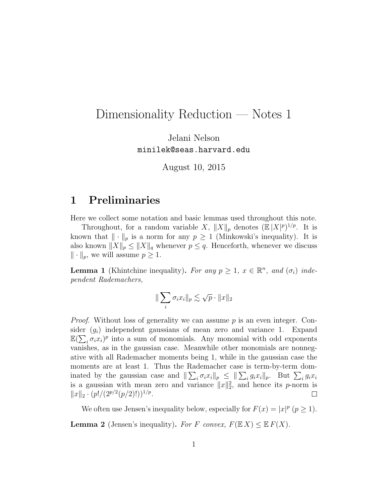# Dimensionality Reduction — Notes 1

Jelani Nelson minilek@seas.harvard.edu

August 10, 2015

## 1 Preliminaries

Here we collect some notation and basic lemmas used throughout this note.

Throughout, for a random variable X,  $||X||_p$  denotes  $(\mathbb{E}|X|^p)^{1/p}$ . It is known that  $\|\cdot\|_p$  is a norm for any  $p \geq 1$  (Minkowski's inequality). It is also known  $||X||_p \le ||X||_q$  whenever  $p \le q$ . Henceforth, whenever we discuss  $\|\cdot\|_p$ , we will assume  $p \geq 1$ .

**Lemma 1** (Khintchine inequality). For any  $p \geq 1$ ,  $x \in \mathbb{R}^n$ , and  $(\sigma_i)$  independent Rademachers,

$$
\|\sum_i \sigma_i x_i\|_p \lesssim \sqrt{p} \cdot \|x\|_2
$$

*Proof.* Without loss of generality we can assume p is an even integer. Consider  $(g_i)$  independent gaussians of mean zero and variance 1. Expand  $\mathbb{E}(\sum_i \sigma_i x_i)^p$  into a sum of monomials. Any monomial with odd exponents vanishes, as in the gaussian case. Meanwhile other monomials are nonnegative with all Rademacher moments being 1, while in the gaussian case the moments are at least 1. Thus the Rademacher case is term-by-term dominated by the gaussian case and  $\|\sum_i \sigma_i x_i\|_p \leq \|\sum_i g_i x_i\|_p$ . But  $\sum_i g_i x_i$ is a gaussian with mean zero and variance  $||x||_2^2$ , and hence its p-norm is  $||x||_2 \cdot (p!/(2^{p/2}(p/2)!))^{1/p}.$  $\Box$ 

We often use Jensen's inequality below, especially for  $F(x) = |x|^p (p \ge 1)$ . **Lemma 2** (Jensen's inequality). For F convex,  $F(\mathbb{E} X) \leq \mathbb{E} F(X)$ .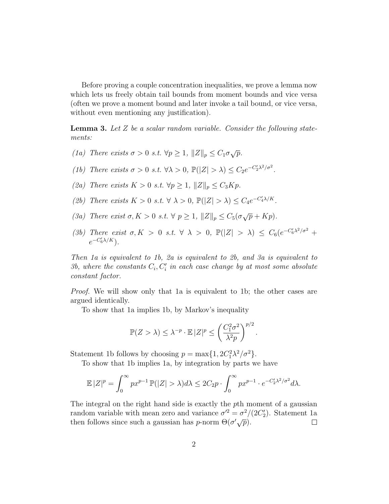Before proving a couple concentration inequalities, we prove a lemma now which lets us freely obtain tail bounds from moment bounds and vice versa (often we prove a moment bound and later invoke a tail bound, or vice versa, without even mentioning any justification).

**Lemma 3.** Let  $Z$  be a scalar random variable. Consider the following statements:

- (1a) There exists  $\sigma > 0$  s.t.  $\forall p \geq 1$ ,  $||Z||_p \leq C_1 \sigma \sqrt{p}$ .
- (1b) There exists  $\sigma > 0$  s.t.  $\forall \lambda > 0$ ,  $\mathbb{P}(|Z| > \lambda) \leq C_2 e^{-C_2' \lambda^2/\sigma^2}$ .
- (2a) There exists  $K > 0$  s.t.  $\forall p \geq 1, ||Z||_p \leq C_3 K p$ .
- (2b) There exists  $K > 0$  s.t.  $\forall \lambda > 0$ ,  $\mathbb{P}(|Z| > \lambda) \leq C_4 e^{-C_4'\lambda/K}$ .
- (3a) There exist  $\sigma, K > 0$  s.t.  $\forall p \geq 1, ||Z||_p \leq C_5(\sigma \sqrt{p} + Kp).$
- (3b) There exist  $\sigma, K > 0$  s.t.  $\forall \lambda > 0$ ,  $\mathbb{P}(|Z| > \lambda) \leq C_6 \left(e^{-C_6'\lambda^2/\sigma^2} +$  $e^{-C'_6\lambda/K}$ ).

Then 1a is equivalent to 1b, 2a is equivalent to 2b, and 3a is equivalent to 3b, where the constants  $C_i, C'_i$  in each case change by at most some absolute constant factor.

Proof. We will show only that 1a is equivalent to 1b; the other cases are argued identically.

To show that 1a implies 1b, by Markov's inequality

$$
\mathbb{P}(Z > \lambda) \leq \lambda^{-p} \cdot \mathbb{E} |Z|^p \leq \left(\frac{C_1^2 \sigma^2}{\lambda^2 p}\right)^{p/2}.
$$

Statement 1b follows by choosing  $p = \max\{1, 2C_1^2\lambda^2/\sigma^2\}.$ 

To show that 1b implies 1a, by integration by parts we have

$$
\mathbb{E}|Z|^p = \int_0^\infty px^{p-1} \, \mathbb{P}(|Z| > \lambda) \, d\lambda \leq 2C_2p \cdot \int_0^\infty px^{p-1} \cdot e^{-C_2' \lambda^2/\sigma^2} \, d\lambda.
$$

The integral on the right hand side is exactly the pth moment of a gaussian random variable with mean zero and variance  $\sigma^2 = \sigma^2/(2C_2')$ . Statement 1a then follows since such a gaussian has *p*-norm  $\Theta(\sigma' \sqrt{p})$ .  $\Box$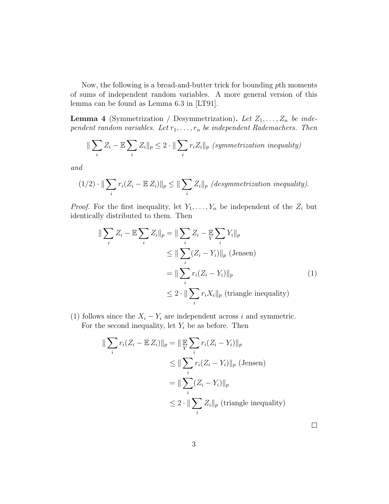Now, the following is a bread-and-butter trick for bounding pth moments of sums of independent random variables. A more general version of this lemma can be found as Lemma 6.3 in [LT91].

**Lemma 4** (Symmetrization / Desymmetrization). Let  $Z_1, \ldots, Z_n$  be independent random variables. Let  $r_1, \ldots, r_n$  be independent Rademachers. Then

$$
\|\sum_{i} Z_i - \mathbb{E}\sum_{i} Z_i\|_p \le 2 \cdot \|\sum_{i} r_i Z_i\|_p \text{ (symmetrization inequality)}
$$

and

$$
(1/2) \cdot ||\sum_{i} r_i (Z_i - \mathbb{E} Z_i)||_p \le ||\sum_{i} Z_i||_p \text{ (desymmetrization inequality)}.
$$

*Proof.* For the first inequality, let  $Y_1, \ldots, Y_n$  be independent of the  $Z_i$  but identically distributed to them. Then

$$
\|\sum_{i} Z_{i} - \mathbb{E}\sum_{i} Z_{i}\|_{p} = \|\sum_{i} Z_{i} - \mathbb{E}\sum_{i} Y_{i}\|_{p}
$$
  
\n
$$
\leq \|\sum_{i} (Z_{i} - Y_{i})\|_{p} \text{ (Jensen)}
$$
  
\n
$$
= \|\sum_{i} r_{i} (Z_{i} - Y_{i})\|_{p}
$$
  
\n
$$
\leq 2 \cdot \|\sum_{i} r_{i} X_{i}\|_{p} \text{ (triangle inequality)}
$$
\n(1)

(1) follows since the  $X_i - Y_i$  are independent across i and symmetric. For the second inequality, let  $Y_i$  be as before. Then

$$
\|\sum_{i} r_i (Z_i - \mathbb{E} Z_i)\|_p = \|\mathbb{E} \sum_{i} r_i (Z_i - Y_i)\|_p
$$
  
\n
$$
\leq \|\sum_{i} r_i (Z_i - Y_i)\|_p \text{ (Jensen)}
$$
  
\n
$$
= \|\sum_{i} (Z_i - Y_i)\|_p
$$
  
\n
$$
\leq 2 \cdot \|\sum_{i} Z_i\|_p \text{ (triangle inequality)}
$$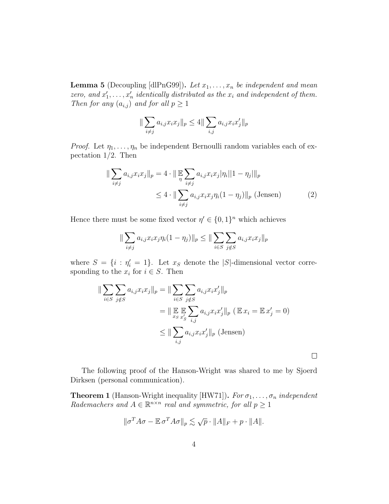**Lemma 5** (Decoupling [dlPnG99]). Let  $x_1, \ldots, x_n$  be independent and mean zero, and  $x'_1, \ldots, x'_n$  identically distributed as the  $x_i$  and independent of them. Then for any  $(a_{i,j})$  and for all  $p \geq 1$ 

$$
\|\sum_{i \neq j} a_{i,j} x_i x_j\|_p \leq 4 \|\sum_{i,j} a_{i,j} x_i x_j'\|_p
$$

*Proof.* Let  $\eta_1, \ldots, \eta_n$  be independent Bernoulli random variables each of expectation 1/2. Then

$$
\|\sum_{i \neq j} a_{i,j} x_i x_j\|_p = 4 \cdot \|\mathbb{E} \sum_{i \neq j} a_{i,j} x_i x_j |\eta_i| |1 - \eta_j| \|_p
$$
  

$$
\leq 4 \cdot \|\sum_{i \neq j} a_{i,j} x_i x_j \eta_i (1 - \eta_j) \|_p \text{ (Jensen)}
$$
 (2)

Hence there must be some fixed vector  $\eta' \in \{0,1\}^n$  which achieves

$$
\|\sum_{i \neq j} a_{i,j} x_i x_j \eta_i (1 - \eta_j)\|_p \le \|\sum_{i \in S} \sum_{j \notin S} a_{i,j} x_i x_j\|_p
$$

where  $S = \{i : \eta'_i = 1\}$ . Let  $x_S$  denote the |S|-dimensional vector corresponding to the  $x_i$  for  $i \in S$ . Then

$$
\|\sum_{i\in S}\sum_{j\notin S}a_{i,j}x_ix_j\|_p = \|\sum_{i\in S}\sum_{j\notin S}a_{i,j}x_ix_j'\|_p
$$
  

$$
= \|\mathop{\mathbb{E}}_{x_S}\mathop{\mathbb{E}}_{x'_S}\sum_{i,j}a_{i,j}x_ix_j'\|_p \ (\mathop{\mathbb{E}} x_i = \mathop{\mathbb{E}} x'_j = 0)
$$
  

$$
\leq \|\sum_{i,j}a_{i,j}x_ix_j'\|_p \ (\text{Jensen})
$$

The following proof of the Hanson-Wright was shared to me by Sjoerd Dirksen (personal communication).

 $\Box$ 

**Theorem 1** (Hanson-Wright inequality [HW71]). For  $\sigma_1, \ldots, \sigma_n$  independent Rademachers and  $A \in \mathbb{R}^{n \times n}$  real and symmetric, for all  $p \geq 1$ 

$$
\|\sigma^T A \sigma - \mathbb{E} \sigma^T A \sigma\|_p \lesssim \sqrt{p} \cdot \|A\|_F + p \cdot \|A\|.
$$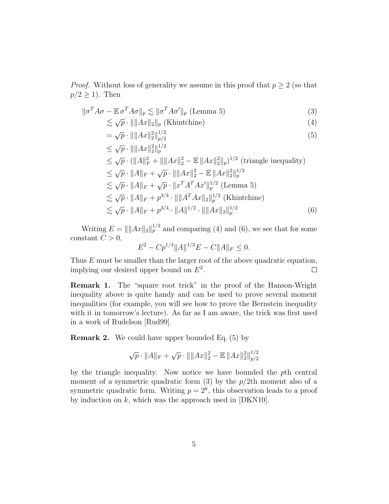*Proof.* Without loss of generality we assume in this proof that  $p \geq 2$  (so that  $p/2 \geq 1$ . Then

$$
\|\sigma^T A \sigma - \mathbb{E} \sigma^T A \sigma\|_p \lesssim \|\sigma^T A \sigma'\|_p \text{ (Lemma 5)}
$$
\n
$$
\qquad (3)
$$

$$
\lesssim \sqrt{p} \cdot || ||Ax||_2 ||_p \text{ (Khintchine)} \tag{4}
$$

$$
= \sqrt{p} \cdot || ||Ax||_2^2 ||_{p/2}^{1/2}
$$
 (5)

$$
\leq \sqrt{p} \cdot |||Ax||_2^2||_p^{1/2}
$$
\n
$$
\leq \sqrt{p} \cdot (||A||_F^2 + ||||Ax||_2^2 - \mathbb{E}||Ax||_2^2||_p)^{1/2} \text{ (triangle inequality)}
$$
\n
$$
\leq \sqrt{p} \cdot ||A||_F + \sqrt{p} \cdot ||||Ax||_2^2 - \mathbb{E}||Ax||_2^2||_p^{1/2}
$$
\n
$$
\leq \sqrt{p} \cdot ||A||_F + \sqrt{p} \cdot ||x^T A^T A x'||_p^{1/2} \text{ (Lemma 5)}
$$
\n
$$
\leq \sqrt{p} \cdot ||A||_F + p^{3/4} \cdot ||||A^T A x||_2||_p^{1/2} \text{ (Khintchine)}
$$
\n
$$
\leq \sqrt{p} \cdot ||A||_F + p^{3/4} \cdot ||A||^{1/2} \cdot ||||Ax||_2||_p^{1/2} \qquad (6)
$$

Writing  $E = || ||Ax||_2 ||_p^{1/2}$  and comparing (4) and (6), we see that for some constant  $C > 0$ ,

$$
E^2 - C p^{1/4} ||A||^{1/2} E - C ||A||_F \le 0.
$$

Thus E must be smaller than the larger root of the above quadratic equation, implying our desired upper bound on  $E^2$ .  $\Box$ 

Remark 1. The "square root trick" in the proof of the Hanson-Wright inequality above is quite handy and can be used to prove several moment inequalities (for example, you will see how to prove the Bernstein inequality with it in tomorrow's lecture). As far as I am aware, the trick was first used in a work of Rudelson [Rud99].

Remark 2. We could have upper bounded Eq. (5) by

$$
\sqrt{p} \cdot ||A||_F + \sqrt{p} \cdot ||||Ax||_2^2 - \mathbb{E} ||Ax||_2^2 ||_{p/2}^{1/2}
$$

by the triangle inequality. Now notice we have bounded the pth central moment of a symmetric quadratic form  $(3)$  by the  $p/2$ th moment also of a symmetric quadratic form. Writing  $p = 2<sup>k</sup>$ , this observation leads to a proof by induction on  $k$ , which was the approach used in  $[DKN10]$ .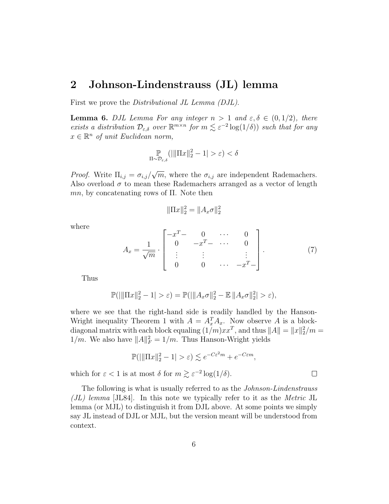#### 2 Johnson-Lindenstrauss (JL) lemma

First we prove the *Distributional JL Lemma (DJL)*.

**Lemma 6.** DJL Lemma For any integer  $n > 1$  and  $\varepsilon, \delta \in (0, 1/2)$ , there exists a distribution  $\mathcal{D}_{\varepsilon,\delta}$  over  $\mathbb{R}^{m\times n}$  for  $m \lesssim \varepsilon^{-2}\log(1/\delta))$  such that for any  $x \in \mathbb{R}^n$  of unit Euclidean norm,

$$
\mathbb{P}_{\Pi \sim \mathcal{D}_{\varepsilon,\delta}}(||\Pi x||_2^2 - 1| > \varepsilon) < \delta
$$

*Proof.* Write  $\Pi_{i,j} = \sigma_{i,j}/\sigma$ √  $\overline{m}$ , where the  $\sigma_{i,j}$  are independent Rademachers. Also overload  $\sigma$  to mean these Rademachers arranged as a vector of length  $mn$ , by concatenating rows of  $\Pi$ . Note then

$$
\|\Pi x\|_2^2 = \|A_x \sigma\|_2^2
$$

where

$$
A_x = \frac{1}{\sqrt{m}} \cdot \begin{bmatrix} -x^T - 0 & \cdots & 0 \\ 0 & -x^T - \cdots & 0 \\ \vdots & \vdots & & \vdots \\ 0 & 0 & \cdots & -x^T - \end{bmatrix} . \tag{7}
$$

Thus

$$
\mathbb{P}(|||\Pi x||_2^2 - 1| > \varepsilon) = \mathbb{P}(|||A_x \sigma||_2^2 - \mathbb{E}||A_x \sigma||_2^2| > \varepsilon),
$$

where we see that the right-hand side is readily handled by the Hanson-Wright inequality Theorem 1 with  $A = A_x^T A_x$ . Now observe A is a blockdiagonal matrix with each block equaling  $(1/m)xx^T$ , and thus  $||A|| = ||x||_2^2/m =$  $1/m$ . We also have  $||A||_F^2 = 1/m$ . Thus Hanson-Wright yields

$$
\mathbb{P}(|||\Pi x||_2^2 - 1| > \varepsilon) \lesssim e^{-C\varepsilon^2 m} + e^{-C\varepsilon m},
$$

which for  $\varepsilon < 1$  is at most  $\delta$  for  $m \gtrsim \varepsilon^{-2} \log(1/\delta)$ .

The following is what is usually referred to as the Johnson-Lindenstrauss  $J(L)$  lemma [JL84]. In this note we typically refer to it as the *Metric* JL lemma (or MJL) to distinguish it from DJL above. At some points we simply say JL instead of DJL or MJL, but the version meant will be understood from context.

 $\Box$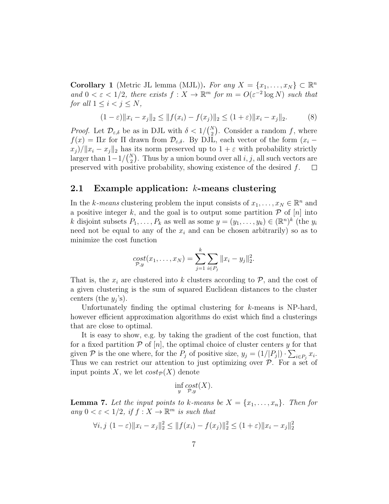Corollary 1 (Metric JL lemma (MJL)). For any  $X = \{x_1, \ldots, x_N\} \subset \mathbb{R}^n$ and  $0 < \varepsilon < 1/2$ , there exists  $f: X \to \mathbb{R}^m$  for  $m = O(\varepsilon^{-2} \log N)$  such that for all  $1 \leq i < j \leq N$ ,

$$
(1 - \varepsilon) \|x_i - x_j\|_2 \le \|f(x_i) - f(x_j)\|_2 \le (1 + \varepsilon) \|x_i - x_j\|_2.
$$
 (8)

*Proof.* Let  $\mathcal{D}_{\varepsilon,\delta}$  be as in DJL with  $\delta < 1/{N \choose 2}$ . Consider a random f, where  $f(x) = \Pi x$  for  $\Pi$  drawn from  $\mathcal{D}_{\varepsilon,\delta}$ . By DJL, each vector of the form  $(x_i$  $x_j$ )/ $||x_i - x_j||_2$  has its norm preserved up to  $1 + \varepsilon$  with probability strictly larger than  $1-1/{N \choose 2}$ . Thus by a union bound over all  $i, j$ , all such vectors are preserved with positive probability, showing existence of the desired f.  $\Box$ 

#### 2.1 Example application:  $k$ -means clustering

In the k-means clustering problem the input consists of  $x_1, \ldots, x_N \in \mathbb{R}^n$  and a positive integer k, and the goal is to output some partition  $P$  of  $[n]$  into k disjoint subsets  $P_1, \ldots, P_k$  as well as some  $y = (y_1, \ldots, y_k) \in (\mathbb{R}^n)^k$  (the  $y_i$ need not be equal to any of the  $x_i$  and can be chosen arbitrarily) so as to minimize the cost function

$$
cost_{\mathcal{P},y}(x_1,\ldots,x_N) = \sum_{j=1}^k \sum_{i \in P_j} ||x_i - y_j||_2^2.
$$

That is, the  $x_i$  are clustered into k clusters according to  $P$ , and the cost of a given clustering is the sum of squared Euclidean distances to the cluster centers (the  $y_j$ 's).

Unfortunately finding the optimal clustering for  $k$ -means is NP-hard, however efficient approximation algorithms do exist which find a clusterings that are close to optimal.

It is easy to show, e.g. by taking the gradient of the cost function, that for a fixed partition  $P$  of  $[n]$ , the optimal choice of cluster centers y for that given P is the one where, for the  $P_j$  of positive size,  $y_j = (1/|P_j|) \cdot \sum_{i \in P_j} x_i$ . Thus we can restrict our attention to just optimizing over  $P$ . For a set of input points X, we let  $cost_{\mathcal{P}}(X)$  denote

$$
\inf_{y} \underset{\mathcal{P}, y}{cost(X)}.
$$

**Lemma 7.** Let the input points to k-means be  $X = \{x_1, \ldots, x_n\}$ . Then for any  $0 < \varepsilon < 1/2$ , if  $f: X \to \mathbb{R}^m$  is such that

$$
\forall i, j \ (1 - \varepsilon) \|x_i - x_j\|_2^2 \le \|f(x_i) - f(x_j)\|_2^2 \le (1 + \varepsilon) \|x_i - x_j\|_2^2
$$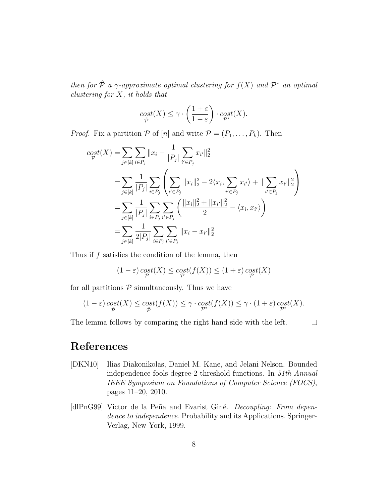then for  $\hat{\mathcal{P}}$  a  $\gamma$ -approximate optimal clustering for  $f(X)$  and  $\mathcal{P}^*$  an optimal *clustering for*  $X$ *, it holds that* 

$$
\operatorname*{cost}_{\hat{\mathcal{P}}} (X) \le \gamma \cdot \left( \frac{1+\varepsilon}{1-\varepsilon} \right) \cdot \operatorname*{cost}_{\mathcal{P}^*} (X).
$$

*Proof.* Fix a partition  $P$  of  $[n]$  and write  $P = (P_1, \ldots, P_k)$ . Then

$$
cost(X) = \sum_{j \in [k]} \sum_{i \in P_j} ||x_i - \frac{1}{|P_j|} \sum_{i' \in P_j} x_{i'}||_2^2
$$
  
= 
$$
\sum_{j \in [k]} \frac{1}{|P_j|} \sum_{i \in P_j} \left( \sum_{i' \in P_j} ||x_i||_2^2 - 2\langle x_i, \sum_{i' \in P_j} x_{i'} \rangle + ||\sum_{i' \in P_j} x_{i'}||_2^2 \right)
$$
  
= 
$$
\sum_{j \in [k]} \frac{1}{|P_j|} \sum_{i \in P_j} \sum_{i' \in P_j} \left( \frac{||x_i||_2^2 + ||x_{i'}||_2^2}{2} - \langle x_i, x_{i'} \rangle \right)
$$
  
= 
$$
\sum_{j \in [k]} \frac{1}{2|P_j|} \sum_{i \in P_j} \sum_{i' \in P_j} ||x_i - x_{i'}||_2^2
$$

Thus if  $f$  satisfies the condition of the lemma, then

$$
(1-\varepsilon)\cosh(X)\le \cosh(f(X))\le (1+\varepsilon)\cosh(X)
$$

for all partitions  $P$  simultaneously. Thus we have

$$
(1-\varepsilon)\cosh(X) \le \cosh(f(X)) \le \gamma \cdot \cosh(f(X)) \le \gamma \cdot (1+\varepsilon)\cosh(X).
$$

The lemma follows by comparing the right hand side with the left.

 $\Box$ 

### References

- [DKN10] Ilias Diakonikolas, Daniel M. Kane, and Jelani Nelson. Bounded independence fools degree-2 threshold functions. In 51th Annual IEEE Symposium on Foundations of Computer Science (FOCS), pages 11–20, 2010.
- [dlPnG99] Victor de la Peña and Evarist Giné. Decoupling: From dependence to independence. Probability and its Applications. Springer-Verlag, New York, 1999.